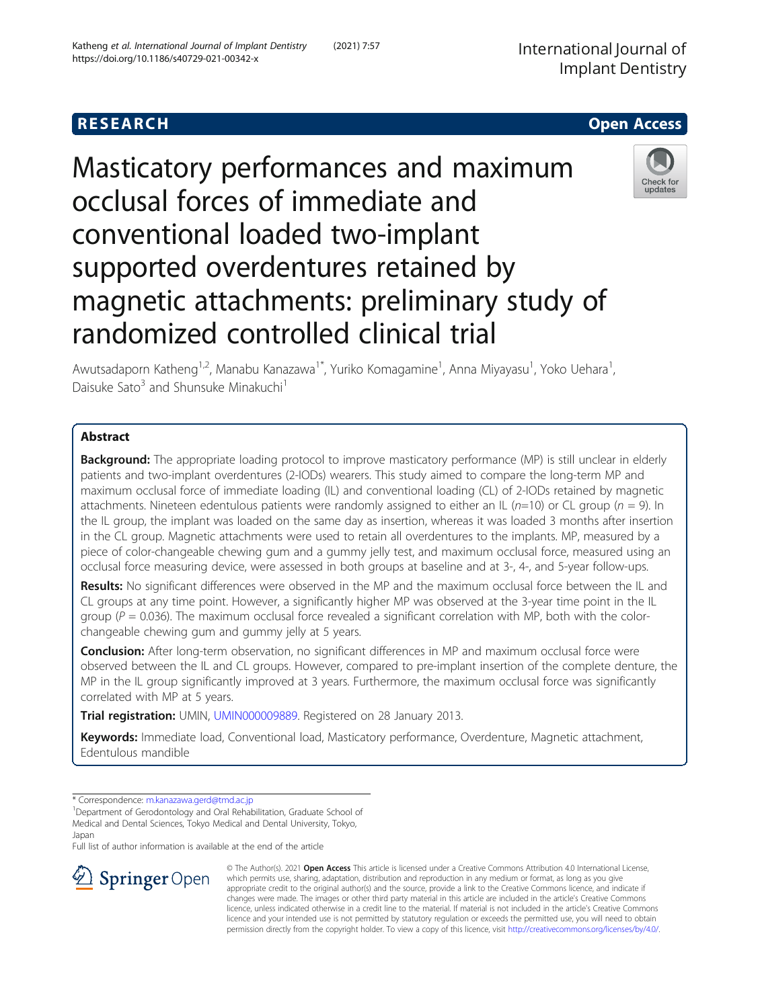# **RESEARCH CHE Open Access**

# Masticatory performances and maximum occlusal forces of immediate and conventional loaded two-implant supported overdentures retained by magnetic attachments: preliminary study of randomized controlled clinical trial



Awutsadaporn Katheng<sup>1,2</sup>, Manabu Kanazawa<sup>1\*</sup>, Yuriko Komagamine<sup>1</sup>, Anna Miyayasu<sup>1</sup>, Yoko Uehara<sup>1</sup> , Daisuke Sato<sup>3</sup> and Shunsuke Minakuchi<sup>1</sup>

# Abstract

**Background:** The appropriate loading protocol to improve masticatory performance (MP) is still unclear in elderly patients and two-implant overdentures (2-IODs) wearers. This study aimed to compare the long-term MP and maximum occlusal force of immediate loading (IL) and conventional loading (CL) of 2-IODs retained by magnetic attachments. Nineteen edentulous patients were randomly assigned to either an IL ( $n=10$ ) or CL group ( $n = 9$ ). In the IL group, the implant was loaded on the same day as insertion, whereas it was loaded 3 months after insertion in the CL group. Magnetic attachments were used to retain all overdentures to the implants. MP, measured by a piece of color-changeable chewing gum and a gummy jelly test, and maximum occlusal force, measured using an occlusal force measuring device, were assessed in both groups at baseline and at 3-, 4-, and 5-year follow-ups.

Results: No significant differences were observed in the MP and the maximum occlusal force between the IL and CL groups at any time point. However, a significantly higher MP was observed at the 3-year time point in the IL group ( $P = 0.036$ ). The maximum occlusal force revealed a significant correlation with MP, both with the colorchangeable chewing gum and gummy jelly at 5 years.

**Conclusion:** After long-term observation, no significant differences in MP and maximum occlusal force were observed between the IL and CL groups. However, compared to pre-implant insertion of the complete denture, the MP in the IL group significantly improved at 3 years. Furthermore, the maximum occlusal force was significantly correlated with MP at 5 years.

Trial registration: UMIN, [UMIN000009889](https://upload.umin.ac.jp/cgi-open-bin/ctr_e/ctr_view.cgi?recptno=R000011588). Registered on 28 January 2013.

Keywords: Immediate load, Conventional load, Masticatory performance, Overdenture, Magnetic attachment, Edentulous mandible

\* Correspondence: [m.kanazawa.gerd@tmd.ac.jp](mailto:m.kanazawa.gerd@tmd.ac.jp) <sup>1</sup>

<sup>1</sup>Department of Gerodontology and Oral Rehabilitation, Graduate School of Medical and Dental Sciences, Tokyo Medical and Dental University, Tokyo, Japan

Full list of author information is available at the end of the article



© The Author(s). 2021 Open Access This article is licensed under a Creative Commons Attribution 4.0 International License, which permits use, sharing, adaptation, distribution and reproduction in any medium or format, as long as you give appropriate credit to the original author(s) and the source, provide a link to the Creative Commons licence, and indicate if changes were made. The images or other third party material in this article are included in the article's Creative Commons licence, unless indicated otherwise in a credit line to the material. If material is not included in the article's Creative Commons licence and your intended use is not permitted by statutory regulation or exceeds the permitted use, you will need to obtain permission directly from the copyright holder. To view a copy of this licence, visit <http://creativecommons.org/licenses/by/4.0/>.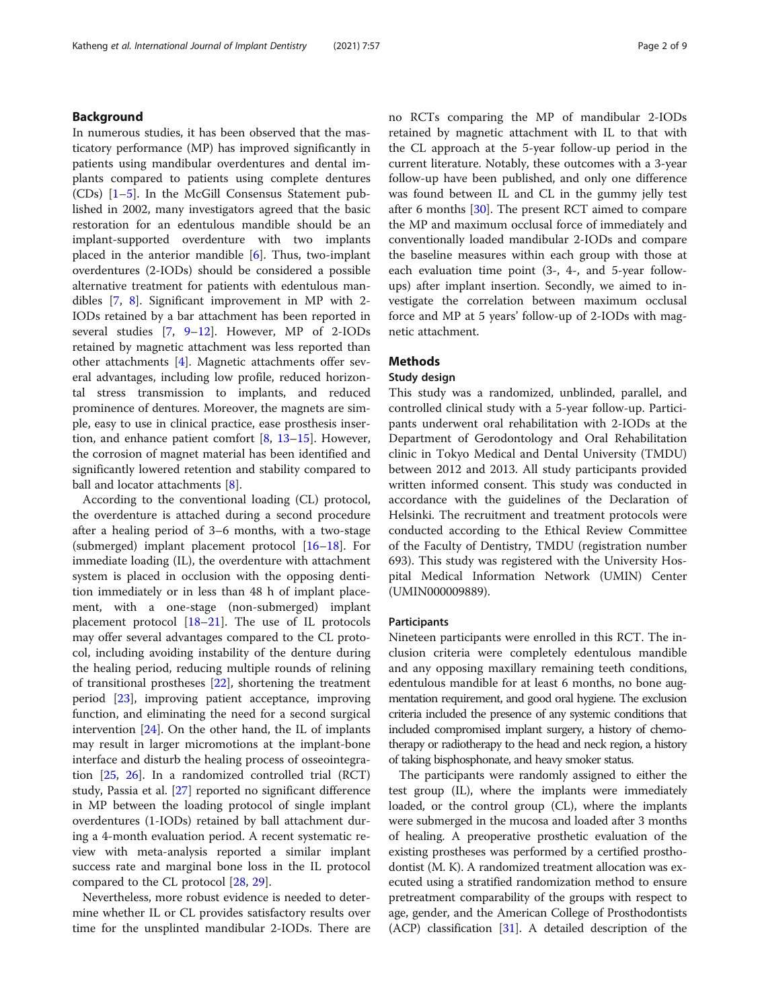# Background

In numerous studies, it has been observed that the masticatory performance (MP) has improved significantly in patients using mandibular overdentures and dental implants compared to patients using complete dentures (CDs) [\[1](#page-7-0)–[5](#page-7-0)]. In the McGill Consensus Statement published in 2002, many investigators agreed that the basic restoration for an edentulous mandible should be an implant-supported overdenture with two implants placed in the anterior mandible [\[6](#page-7-0)]. Thus, two-implant overdentures (2-IODs) should be considered a possible alternative treatment for patients with edentulous mandibles [[7,](#page-7-0) [8](#page-7-0)]. Significant improvement in MP with 2- IODs retained by a bar attachment has been reported in several studies [\[7](#page-7-0), [9](#page-7-0)–[12\]](#page-7-0). However, MP of 2-IODs retained by magnetic attachment was less reported than other attachments [[4\]](#page-7-0). Magnetic attachments offer several advantages, including low profile, reduced horizontal stress transmission to implants, and reduced prominence of dentures. Moreover, the magnets are simple, easy to use in clinical practice, ease prosthesis insertion, and enhance patient comfort [[8](#page-7-0), [13](#page-7-0)–[15\]](#page-7-0). However, the corrosion of magnet material has been identified and significantly lowered retention and stability compared to ball and locator attachments [\[8](#page-7-0)].

According to the conventional loading (CL) protocol, the overdenture is attached during a second procedure after a healing period of 3–6 months, with a two-stage (submerged) implant placement protocol [\[16](#page-7-0)–[18\]](#page-7-0). For immediate loading (IL), the overdenture with attachment system is placed in occlusion with the opposing dentition immediately or in less than 48 h of implant placement, with a one-stage (non-submerged) implant placement protocol [\[18](#page-7-0)–[21\]](#page-7-0). The use of IL protocols may offer several advantages compared to the CL protocol, including avoiding instability of the denture during the healing period, reducing multiple rounds of relining of transitional prostheses [[22\]](#page-7-0), shortening the treatment period [\[23\]](#page-7-0), improving patient acceptance, improving function, and eliminating the need for a second surgical intervention [\[24\]](#page-7-0). On the other hand, the IL of implants may result in larger micromotions at the implant-bone interface and disturb the healing process of osseointegration [\[25](#page-7-0), [26](#page-7-0)]. In a randomized controlled trial (RCT) study, Passia et al. [[27](#page-7-0)] reported no significant difference in MP between the loading protocol of single implant overdentures (1-IODs) retained by ball attachment during a 4-month evaluation period. A recent systematic review with meta-analysis reported a similar implant success rate and marginal bone loss in the IL protocol compared to the CL protocol [[28,](#page-7-0) [29\]](#page-7-0).

Nevertheless, more robust evidence is needed to determine whether IL or CL provides satisfactory results over time for the unsplinted mandibular 2-IODs. There are no RCTs comparing the MP of mandibular 2-IODs retained by magnetic attachment with IL to that with the CL approach at the 5-year follow-up period in the current literature. Notably, these outcomes with a 3-year follow-up have been published, and only one difference was found between IL and CL in the gummy jelly test after 6 months [\[30](#page-7-0)]. The present RCT aimed to compare the MP and maximum occlusal force of immediately and conventionally loaded mandibular 2-IODs and compare the baseline measures within each group with those at each evaluation time point (3-, 4-, and 5-year followups) after implant insertion. Secondly, we aimed to investigate the correlation between maximum occlusal force and MP at 5 years' follow-up of 2-IODs with magnetic attachment.

# Methods

#### Study design

This study was a randomized, unblinded, parallel, and controlled clinical study with a 5-year follow-up. Participants underwent oral rehabilitation with 2-IODs at the Department of Gerodontology and Oral Rehabilitation clinic in Tokyo Medical and Dental University (TMDU) between 2012 and 2013. All study participants provided written informed consent. This study was conducted in accordance with the guidelines of the Declaration of Helsinki. The recruitment and treatment protocols were conducted according to the Ethical Review Committee of the Faculty of Dentistry, TMDU (registration number 693). This study was registered with the University Hospital Medical Information Network (UMIN) Center (UMIN000009889).

#### **Participants**

Nineteen participants were enrolled in this RCT. The inclusion criteria were completely edentulous mandible and any opposing maxillary remaining teeth conditions, edentulous mandible for at least 6 months, no bone augmentation requirement, and good oral hygiene. The exclusion criteria included the presence of any systemic conditions that included compromised implant surgery, a history of chemotherapy or radiotherapy to the head and neck region, a history of taking bisphosphonate, and heavy smoker status.

The participants were randomly assigned to either the test group (IL), where the implants were immediately loaded, or the control group (CL), where the implants were submerged in the mucosa and loaded after 3 months of healing. A preoperative prosthetic evaluation of the existing prostheses was performed by a certified prosthodontist (M. K). A randomized treatment allocation was executed using a stratified randomization method to ensure pretreatment comparability of the groups with respect to age, gender, and the American College of Prosthodontists (ACP) classification [\[31\]](#page-7-0). A detailed description of the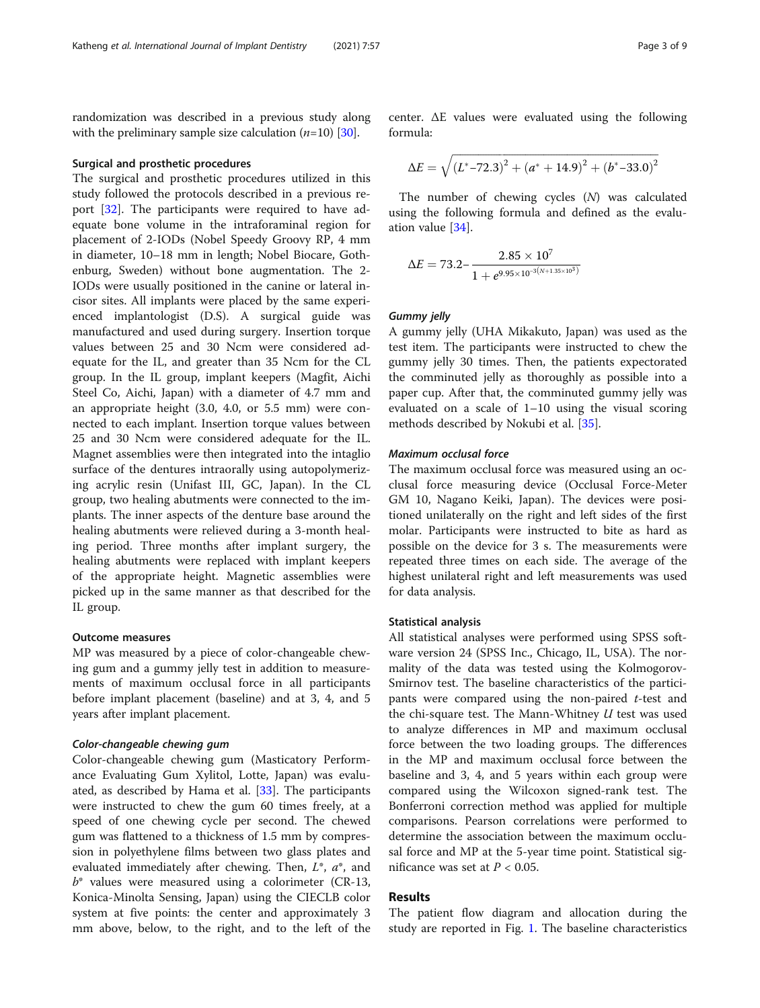randomization was described in a previous study along with the preliminary sample size calculation  $(n=10)$  [\[30\]](#page-7-0).

#### Surgical and prosthetic procedures

The surgical and prosthetic procedures utilized in this study followed the protocols described in a previous report [\[32\]](#page-7-0). The participants were required to have adequate bone volume in the intraforaminal region for placement of 2-IODs (Nobel Speedy Groovy RP, 4 mm in diameter, 10–18 mm in length; Nobel Biocare, Gothenburg, Sweden) without bone augmentation. The 2- IODs were usually positioned in the canine or lateral incisor sites. All implants were placed by the same experienced implantologist (D.S). A surgical guide was manufactured and used during surgery. Insertion torque values between 25 and 30 Ncm were considered adequate for the IL, and greater than 35 Ncm for the CL group. In the IL group, implant keepers (Magfit, Aichi Steel Co, Aichi, Japan) with a diameter of 4.7 mm and an appropriate height (3.0, 4.0, or 5.5 mm) were connected to each implant. Insertion torque values between 25 and 30 Ncm were considered adequate for the IL. Magnet assemblies were then integrated into the intaglio surface of the dentures intraorally using autopolymerizing acrylic resin (Unifast III, GC, Japan). In the CL group, two healing abutments were connected to the implants. The inner aspects of the denture base around the healing abutments were relieved during a 3-month healing period. Three months after implant surgery, the healing abutments were replaced with implant keepers of the appropriate height. Magnetic assemblies were picked up in the same manner as that described for the IL group.

#### Outcome measures

MP was measured by a piece of color-changeable chewing gum and a gummy jelly test in addition to measurements of maximum occlusal force in all participants before implant placement (baseline) and at 3, 4, and 5 years after implant placement.

Color-changeable chewing gum Color-changeable chewing gum (Masticatory Performance Evaluating Gum Xylitol, Lotte, Japan) was evaluated, as described by Hama et al. [[33](#page-7-0)]. The participants were instructed to chew the gum 60 times freely, at a speed of one chewing cycle per second. The chewed gum was flattened to a thickness of 1.5 mm by compression in polyethylene films between two glass plates and evaluated immediately after chewing. Then,  $L^*$ ,  $a^*$ , and  $b^*$  values were measured using a colorimeter (CR-13, Konica-Minolta Sensing, Japan) using the CIECLB color system at five points: the center and approximately 3 mm above, below, to the right, and to the left of the

center. ΔE values were evaluated using the following formula:

$$
\Delta E = \sqrt{\left(L^*-72.3\right)^2+\left(a^*+14.9\right)^2+\left(b^*-33.0\right)^2}
$$

The number of chewing cycles (N) was calculated using the following formula and defined as the evaluation value [[34](#page-7-0)].

$$
\Delta E = 73.2 - \frac{2.85 \times 10^7}{1 + e^{9.95 \times 10^{-3}(N + 1.35 \times 10^3)}}
$$

Gummy jelly A gummy jelly (UHA Mikakuto, Japan) was used as the test item. The participants were instructed to chew the gummy jelly 30 times. Then, the patients expectorated the comminuted jelly as thoroughly as possible into a paper cup. After that, the comminuted gummy jelly was evaluated on a scale of 1–10 using the visual scoring methods described by Nokubi et al. [\[35\]](#page-7-0).

The maximum occlusal force was measured using an occlusal force measuring device (Occlusal Force-Meter GM 10, Nagano Keiki, Japan). The devices were positioned unilaterally on the right and left sides of the first molar. Participants were instructed to bite as hard as possible on the device for 3 s. The measurements were repeated three times on each side. The average of the highest unilateral right and left measurements was used for data analysis.

#### Statistical analysis

All statistical analyses were performed using SPSS software version 24 (SPSS Inc., Chicago, IL, USA). The normality of the data was tested using the Kolmogorov-Smirnov test. The baseline characteristics of the participants were compared using the non-paired  $t$ -test and the chi-square test. The Mann-Whitney  $U$  test was used to analyze differences in MP and maximum occlusal force between the two loading groups. The differences in the MP and maximum occlusal force between the baseline and 3, 4, and 5 years within each group were compared using the Wilcoxon signed-rank test. The Bonferroni correction method was applied for multiple comparisons. Pearson correlations were performed to determine the association between the maximum occlusal force and MP at the 5-year time point. Statistical significance was set at  $P < 0.05$ .

## Results

The patient flow diagram and allocation during the study are reported in Fig. [1.](#page-3-0) The baseline characteristics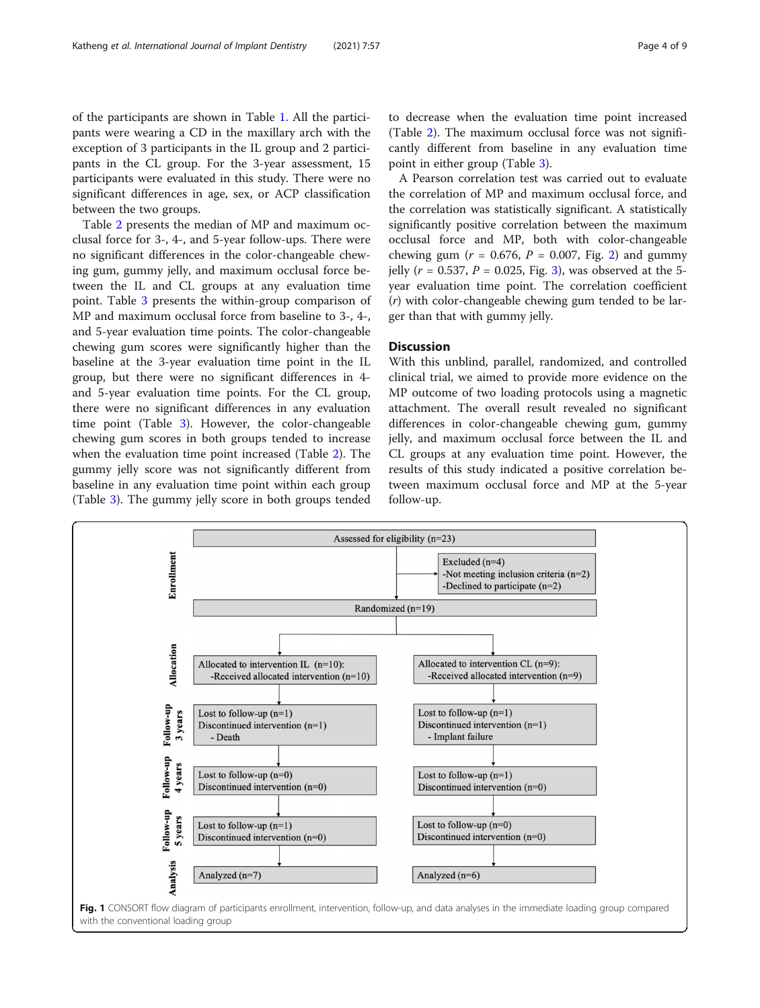<span id="page-3-0"></span>of the participants are shown in Table [1.](#page-4-0) All the participants were wearing a CD in the maxillary arch with the exception of 3 participants in the IL group and 2 participants in the CL group. For the 3-year assessment, 15 participants were evaluated in this study. There were no significant differences in age, sex, or ACP classification between the two groups.

Table [2](#page-4-0) presents the median of MP and maximum occlusal force for 3-, 4-, and 5-year follow-ups. There were no significant differences in the color-changeable chewing gum, gummy jelly, and maximum occlusal force between the IL and CL groups at any evaluation time point. Table [3](#page-5-0) presents the within-group comparison of MP and maximum occlusal force from baseline to 3-, 4-, and 5-year evaluation time points. The color-changeable chewing gum scores were significantly higher than the baseline at the 3-year evaluation time point in the IL group, but there were no significant differences in 4 and 5-year evaluation time points. For the CL group, there were no significant differences in any evaluation time point (Table [3\)](#page-5-0). However, the color-changeable chewing gum scores in both groups tended to increase when the evaluation time point increased (Table [2\)](#page-4-0). The gummy jelly score was not significantly different from baseline in any evaluation time point within each group (Table [3](#page-5-0)). The gummy jelly score in both groups tended to decrease when the evaluation time point increased (Table [2\)](#page-4-0). The maximum occlusal force was not significantly different from baseline in any evaluation time point in either group (Table [3\)](#page-5-0).

A Pearson correlation test was carried out to evaluate the correlation of MP and maximum occlusal force, and the correlation was statistically significant. A statistically significantly positive correlation between the maximum occlusal force and MP, both with color-changeable chewing gum ( $r = 0.676$ ,  $P = 0.007$ , Fig. [2\)](#page-5-0) and gummy jelly ( $r = 0.537$  $r = 0.537$  $r = 0.537$ ,  $P = 0.025$ , Fig. 3), was observed at the 5year evaluation time point. The correlation coefficient (r) with color-changeable chewing gum tended to be larger than that with gummy jelly.

## **Discussion**

With this unblind, parallel, randomized, and controlled clinical trial, we aimed to provide more evidence on the MP outcome of two loading protocols using a magnetic attachment. The overall result revealed no significant differences in color-changeable chewing gum, gummy jelly, and maximum occlusal force between the IL and CL groups at any evaluation time point. However, the results of this study indicated a positive correlation between maximum occlusal force and MP at the 5-year follow-up.

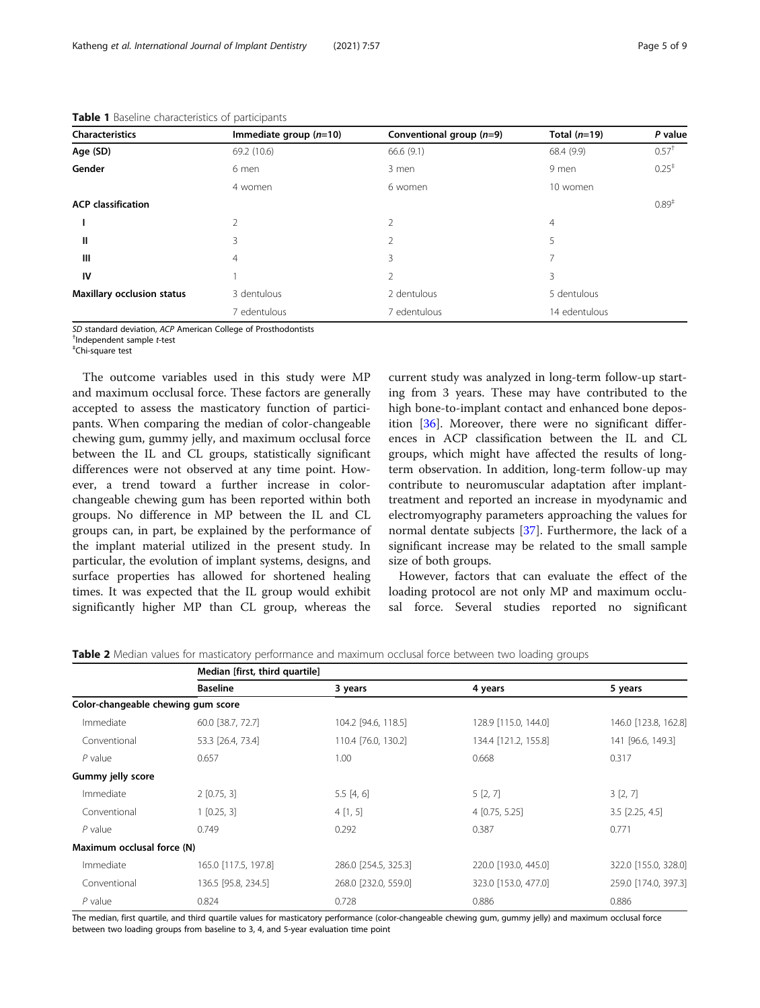| <b>Characteristics</b>            | Immediate group $(n=10)$ | Conventional group (n=9) | Total $(n=19)$ | P value          |
|-----------------------------------|--------------------------|--------------------------|----------------|------------------|
| Age (SD)                          | 69.2 (10.6)              | 66.6 (9.1)               | 68.4 (9.9)     | $0.57^{\dagger}$ |
| Gender                            | 6 men                    | 3 men                    | 9 men          | $0.25^+$         |
|                                   | 4 women                  | 6 women                  | 10 women       |                  |
| <b>ACP</b> classification         |                          |                          |                | $0.89^{+}$       |
|                                   | 2                        | 2                        | $\overline{4}$ |                  |
| Ш                                 | 3                        | 2                        | 5              |                  |
| Ш                                 | 4                        | 3                        | 7              |                  |
| IV                                |                          | 2                        | 3              |                  |
| <b>Maxillary occlusion status</b> | 3 dentulous              | 2 dentulous              | 5 dentulous    |                  |
|                                   | 7 edentulous             | 7 edentulous             | 14 edentulous  |                  |

<span id="page-4-0"></span>Table 1 Baseline characteristics of participants

SD standard deviation, ACP American College of Prosthodontists

<sup>†</sup>Independent sample t-test

Chi-square test

The outcome variables used in this study were MP and maximum occlusal force. These factors are generally accepted to assess the masticatory function of participants. When comparing the median of color-changeable chewing gum, gummy jelly, and maximum occlusal force between the IL and CL groups, statistically significant differences were not observed at any time point. However, a trend toward a further increase in colorchangeable chewing gum has been reported within both groups. No difference in MP between the IL and CL groups can, in part, be explained by the performance of the implant material utilized in the present study. In particular, the evolution of implant systems, designs, and surface properties has allowed for shortened healing times. It was expected that the IL group would exhibit significantly higher MP than CL group, whereas the current study was analyzed in long-term follow-up starting from 3 years. These may have contributed to the high bone-to-implant contact and enhanced bone deposition [[36\]](#page-7-0). Moreover, there were no significant differences in ACP classification between the IL and CL groups, which might have affected the results of longterm observation. In addition, long-term follow-up may contribute to neuromuscular adaptation after implanttreatment and reported an increase in myodynamic and electromyography parameters approaching the values for normal dentate subjects [\[37](#page-8-0)]. Furthermore, the lack of a significant increase may be related to the small sample size of both groups.

However, factors that can evaluate the effect of the loading protocol are not only MP and maximum occlusal force. Several studies reported no significant

| Table 2 Median values for masticatory performance and maximum occlusal force between two loading groups |  |  |
|---------------------------------------------------------------------------------------------------------|--|--|
|                                                                                                         |  |  |

|                                    |                      | Median [first, third quartile] |                      |                      |  |
|------------------------------------|----------------------|--------------------------------|----------------------|----------------------|--|
|                                    | <b>Baseline</b>      | 3 years                        | 4 years              | 5 years              |  |
| Color-changeable chewing gum score |                      |                                |                      |                      |  |
| Immediate                          | 60.0 [38.7, 72.7]    | 104.2 [94.6, 118.5]            | 128.9 [115.0, 144.0] | 146.0 [123.8, 162.8] |  |
| Conventional                       | 53.3 [26.4, 73.4]    | 110.4 [76.0, 130.2]            | 134.4 [121.2, 155.8] | 141 [96.6, 149.3]    |  |
| $P$ value                          | 0.657                | 1.00                           | 0.668                | 0.317                |  |
| Gummy jelly score                  |                      |                                |                      |                      |  |
| Immediate                          | $2$ [0.75, 3]        | 5.5[4, 6]                      | 5[2, 7]              | 3[2, 7]              |  |
| Conventional                       | $1$ [0.25, 3]        | 4[1, 5]                        | $4$ [0.75, 5.25]     | $3.5$ [2.25, 4.5]    |  |
| $P$ value                          | 0.749                | 0.292                          | 0.387                | 0.771                |  |
| Maximum occlusal force (N)         |                      |                                |                      |                      |  |
| Immediate                          | 165.0 [117.5, 197.8] | 286.0 [254.5, 325.3]           | 220.0 [193.0, 445.0] | 322.0 [155.0, 328.0] |  |
| Conventional                       | 136.5 [95.8, 234.5]  | 268.0 [232.0, 559.0]           | 323.0 [153.0, 477.0] | 259.0 [174.0, 397.3] |  |
| $P$ value                          | 0.824                | 0.728                          | 0.886                | 0.886                |  |

The median, first quartile, and third quartile values for masticatory performance (color-changeable chewing gum, gummy jelly) and maximum occlusal force between two loading groups from baseline to 3, 4, and 5-year evaluation time point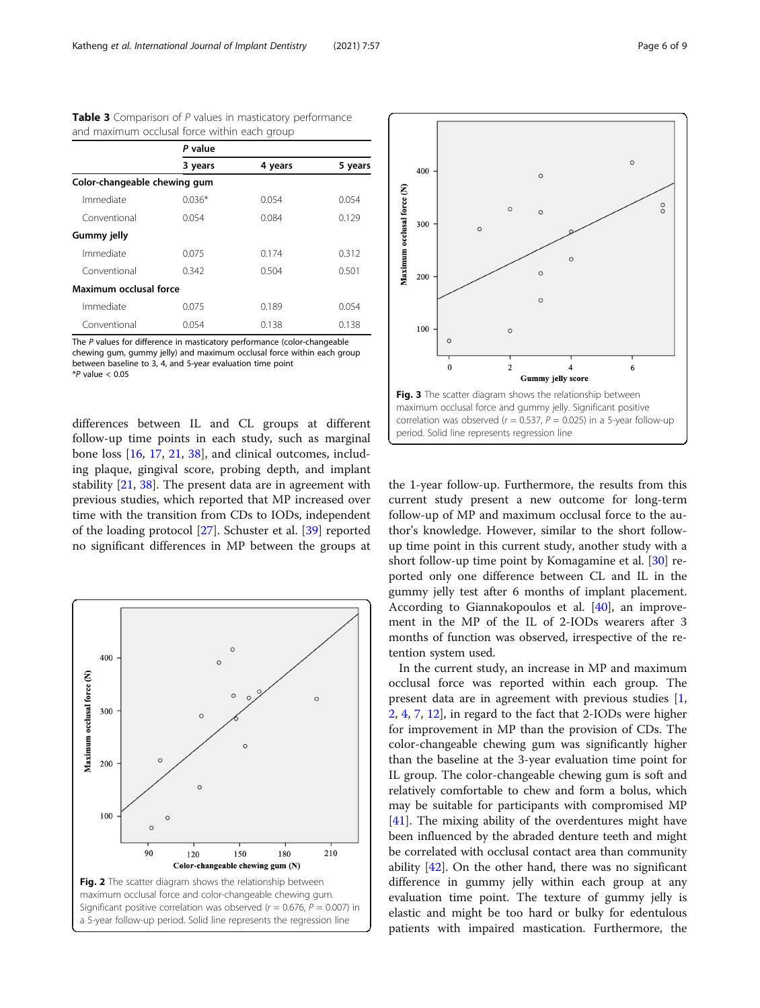|                              | P value  |         |         |
|------------------------------|----------|---------|---------|
|                              | 3 years  | 4 years | 5 years |
| Color-changeable chewing gum |          |         |         |
| Immediate                    | $0.036*$ | 0.054   | 0.054   |
| Conventional                 | 0.054    | 0.084   | 0.129   |
| <b>Gummy jelly</b>           |          |         |         |
| Immediate                    | 0.075    | 0.174   | 0.312   |
| Conventional                 | 0.342    | 0.504   | 0.501   |
| Maximum occlusal force       |          |         |         |
| Immediate                    | 0.075    | 0.189   | 0.054   |
| Conventional                 | 0.054    | 0.138   | 0.138   |

<span id="page-5-0"></span>Table 3 Comparison of P values in masticatory performance and maximum occlusal force within each group

The P values for difference in masticatory performance (color-changeable chewing gum, gummy jelly) and maximum occlusal force within each group between baseline to 3, 4, and 5-year evaluation time point  $*P$  value  $< 0.05$ 

differences between IL and CL groups at different follow-up time points in each study, such as marginal bone loss [[16,](#page-7-0) [17,](#page-7-0) [21](#page-7-0), [38](#page-8-0)], and clinical outcomes, including plaque, gingival score, probing depth, and implant stability [[21](#page-7-0), [38](#page-8-0)]. The present data are in agreement with previous studies, which reported that MP increased over time with the transition from CDs to IODs, independent of the loading protocol [\[27](#page-7-0)]. Schuster et al. [[39](#page-8-0)] reported no significant differences in MP between the groups at





the 1-year follow-up. Furthermore, the results from this current study present a new outcome for long-term follow-up of MP and maximum occlusal force to the author's knowledge. However, similar to the short followup time point in this current study, another study with a short follow-up time point by Komagamine et al. [\[30\]](#page-7-0) reported only one difference between CL and IL in the gummy jelly test after 6 months of implant placement. According to Giannakopoulos et al. [[40](#page-8-0)], an improvement in the MP of the IL of 2-IODs wearers after 3 months of function was observed, irrespective of the retention system used.

In the current study, an increase in MP and maximum occlusal force was reported within each group. The present data are in agreement with previous studies [\[1](#page-7-0), [2,](#page-7-0) [4,](#page-7-0) [7,](#page-7-0) [12\]](#page-7-0), in regard to the fact that 2-IODs were higher for improvement in MP than the provision of CDs. The color-changeable chewing gum was significantly higher than the baseline at the 3-year evaluation time point for IL group. The color-changeable chewing gum is soft and relatively comfortable to chew and form a bolus, which may be suitable for participants with compromised MP [[41\]](#page-8-0). The mixing ability of the overdentures might have been influenced by the abraded denture teeth and might be correlated with occlusal contact area than community ability [\[42](#page-8-0)]. On the other hand, there was no significant difference in gummy jelly within each group at any evaluation time point. The texture of gummy jelly is elastic and might be too hard or bulky for edentulous patients with impaired mastication. Furthermore, the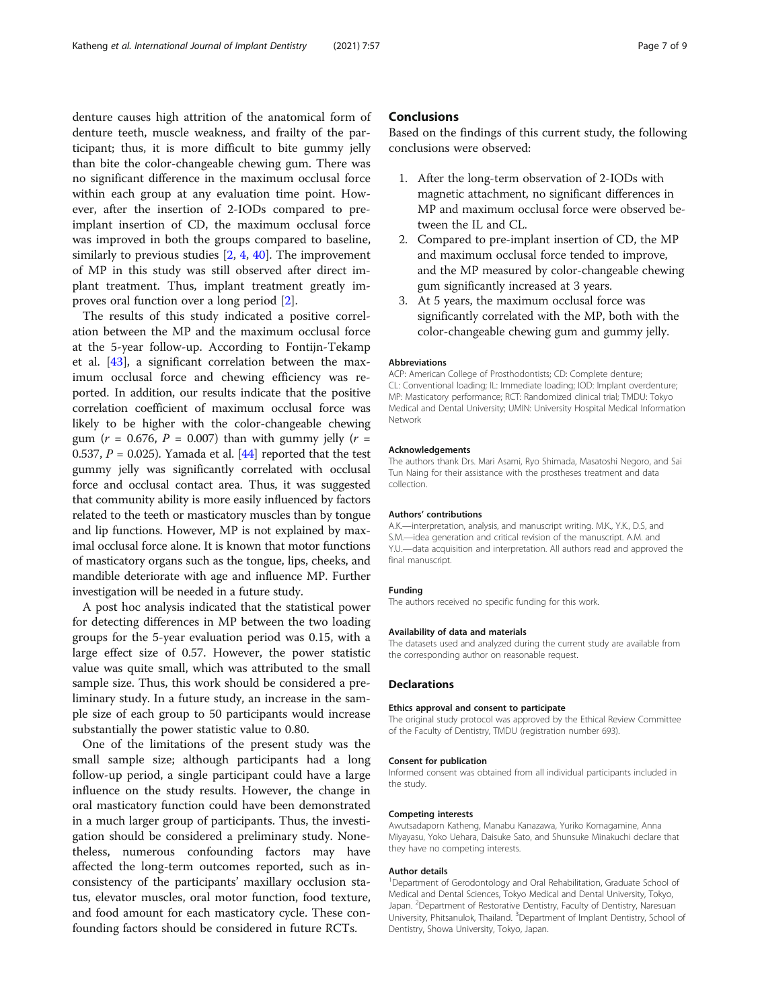denture causes high attrition of the anatomical form of denture teeth, muscle weakness, and frailty of the participant; thus, it is more difficult to bite gummy jelly than bite the color-changeable chewing gum. There was no significant difference in the maximum occlusal force within each group at any evaluation time point. However, after the insertion of 2-IODs compared to preimplant insertion of CD, the maximum occlusal force was improved in both the groups compared to baseline, similarly to previous studies [[2,](#page-7-0) [4,](#page-7-0) [40](#page-8-0)]. The improvement of MP in this study was still observed after direct implant treatment. Thus, implant treatment greatly improves oral function over a long period [\[2](#page-7-0)].

The results of this study indicated a positive correlation between the MP and the maximum occlusal force at the 5-year follow-up. According to Fontijn-Tekamp et al. [[43](#page-8-0)], a significant correlation between the maximum occlusal force and chewing efficiency was reported. In addition, our results indicate that the positive correlation coefficient of maximum occlusal force was likely to be higher with the color-changeable chewing gum ( $r = 0.676$ ,  $P = 0.007$ ) than with gummy jelly ( $r =$ 0.537,  $P = 0.025$ ). Yamada et al. [\[44](#page-8-0)] reported that the test gummy jelly was significantly correlated with occlusal force and occlusal contact area. Thus, it was suggested that community ability is more easily influenced by factors related to the teeth or masticatory muscles than by tongue and lip functions. However, MP is not explained by maximal occlusal force alone. It is known that motor functions of masticatory organs such as the tongue, lips, cheeks, and mandible deteriorate with age and influence MP. Further investigation will be needed in a future study.

A post hoc analysis indicated that the statistical power for detecting differences in MP between the two loading groups for the 5-year evaluation period was 0.15, with a large effect size of 0.57. However, the power statistic value was quite small, which was attributed to the small sample size. Thus, this work should be considered a preliminary study. In a future study, an increase in the sample size of each group to 50 participants would increase substantially the power statistic value to 0.80.

One of the limitations of the present study was the small sample size; although participants had a long follow-up period, a single participant could have a large influence on the study results. However, the change in oral masticatory function could have been demonstrated in a much larger group of participants. Thus, the investigation should be considered a preliminary study. Nonetheless, numerous confounding factors may have affected the long-term outcomes reported, such as inconsistency of the participants' maxillary occlusion status, elevator muscles, oral motor function, food texture, and food amount for each masticatory cycle. These confounding factors should be considered in future RCTs.

## **Conclusions**

Based on the findings of this current study, the following conclusions were observed:

- 1. After the long-term observation of 2-IODs with magnetic attachment, no significant differences in MP and maximum occlusal force were observed between the IL and CL.
- 2. Compared to pre-implant insertion of CD, the MP and maximum occlusal force tended to improve, and the MP measured by color-changeable chewing gum significantly increased at 3 years.
- 3. At 5 years, the maximum occlusal force was significantly correlated with the MP, both with the color-changeable chewing gum and gummy jelly.

#### Abbreviations

ACP: American College of Prosthodontists; CD: Complete denture; CL: Conventional loading; IL: Immediate loading; IOD: Implant overdenture; MP: Masticatory performance; RCT: Randomized clinical trial; TMDU: Tokyo Medical and Dental University; UMIN: University Hospital Medical Information Network

#### Acknowledgements

The authors thank Drs. Mari Asami, Ryo Shimada, Masatoshi Negoro, and Sai Tun Naing for their assistance with the prostheses treatment and data collection.

#### Authors' contributions

A.K.—interpretation, analysis, and manuscript writing. M.K., Y.K., D.S, and S.M.—idea generation and critical revision of the manuscript. A.M. and Y.U.—data acquisition and interpretation. All authors read and approved the final manuscript.

#### Funding

The authors received no specific funding for this work.

#### Availability of data and materials

The datasets used and analyzed during the current study are available from the corresponding author on reasonable request.

#### Declarations

#### Ethics approval and consent to participate

The original study protocol was approved by the Ethical Review Committee of the Faculty of Dentistry, TMDU (registration number 693).

#### Consent for publication

Informed consent was obtained from all individual participants included in the study.

### Competing interests

Awutsadaporn Katheng, Manabu Kanazawa, Yuriko Komagamine, Anna Miyayasu, Yoko Uehara, Daisuke Sato, and Shunsuke Minakuchi declare that they have no competing interests.

#### Author details

<sup>1</sup>Department of Gerodontology and Oral Rehabilitation, Graduate School of Medical and Dental Sciences, Tokyo Medical and Dental University, Tokyo, Japan. <sup>2</sup> Department of Restorative Dentistry, Faculty of Dentistry, Naresuan University, Phitsanulok, Thailand. <sup>3</sup> Department of Implant Dentistry, School of Dentistry, Showa University, Tokyo, Japan.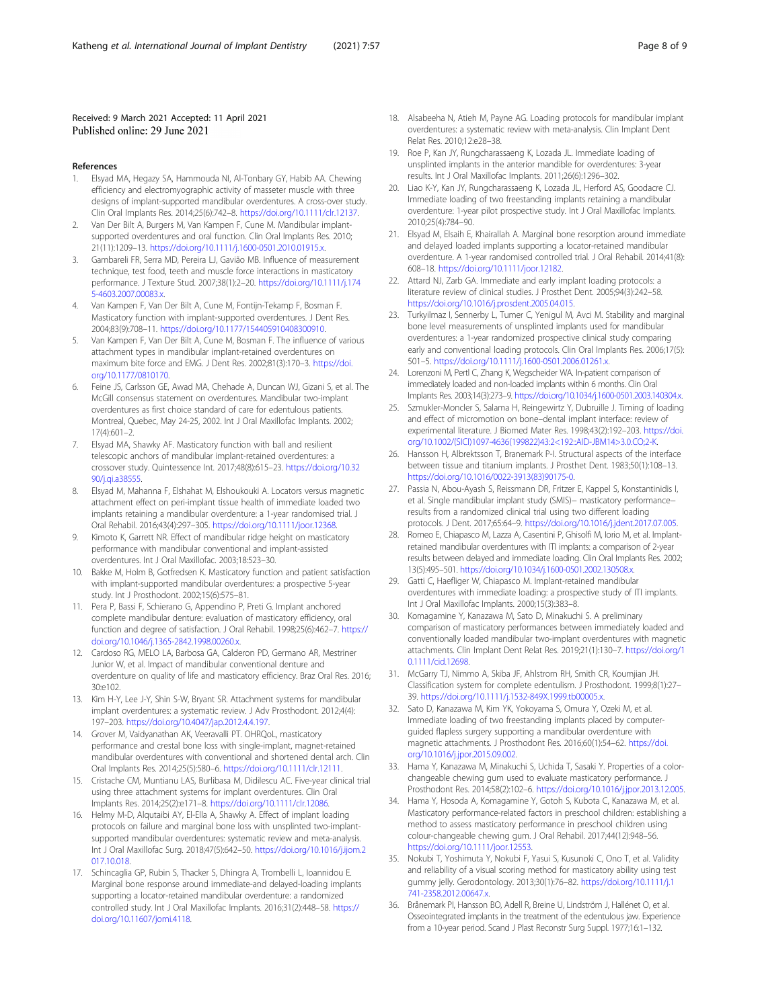#### <span id="page-7-0"></span>Received: 9 March 2021 Accepted: 11 April 2021 Published online: 29 June 2021

#### References

- 1. Elsyad MA, Hegazy SA, Hammouda NI, Al-Tonbary GY, Habib AA. Chewing efficiency and electromyographic activity of masseter muscle with three designs of implant-supported mandibular overdentures. A cross-over study. Clin Oral Implants Res. 2014;25(6):742–8. <https://doi.org/10.1111/clr.12137>.
- 2. Van Der Bilt A, Burgers M, Van Kampen F, Cune M. Mandibular implantsupported overdentures and oral function. Clin Oral Implants Res. 2010; 21(11):1209–13. <https://doi.org/10.1111/j.1600-0501.2010.01915.x>.
- 3. Gambareli FR, Serra MD, Pereira LJ, Gavião MB. Influence of measurement technique, test food, teeth and muscle force interactions in masticatory performance. J Texture Stud. 2007;38(1):2–20. [https://doi.org/10.1111/j.174](https://doi.org/10.1111/j.1745-4603.2007.00083.x) [5-4603.2007.00083.x](https://doi.org/10.1111/j.1745-4603.2007.00083.x).
- 4. Van Kampen F, Van Der Bilt A, Cune M, Fontijn-Tekamp F, Bosman F. Masticatory function with implant-supported overdentures. J Dent Res. 2004;83(9):708–11. <https://doi.org/10.1177/154405910408300910>.
- 5. Van Kampen F, Van Der Bilt A, Cune M, Bosman F. The influence of various attachment types in mandibular implant-retained overdentures on maximum bite force and EMG. J Dent Res. 2002;81(3):170–3. [https://doi.](https://doi.org/10.1177/0810170) [org/10.1177/0810170.](https://doi.org/10.1177/0810170)
- 6. Feine JS, Carlsson GE, Awad MA, Chehade A, Duncan WJ, Gizani S, et al. The McGill consensus statement on overdentures. Mandibular two-implant overdentures as first choice standard of care for edentulous patients. Montreal, Quebec, May 24-25, 2002. Int J Oral Maxillofac Implants. 2002; 17(4):601–2.
- 7. Elsyad MA, Shawky AF. Masticatory function with ball and resilient telescopic anchors of mandibular implant-retained overdentures: a crossover study. Quintessence Int. 2017;48(8):615–23. [https://doi.org/10.32](https://doi.org/10.3290/j.qi.a38555) [90/j.qi.a38555](https://doi.org/10.3290/j.qi.a38555).
- 8. Elsyad M, Mahanna F, Elshahat M, Elshoukouki A. Locators versus magnetic attachment effect on peri-implant tissue health of immediate loaded two implants retaining a mandibular overdenture: a 1-year randomised trial. J Oral Rehabil. 2016;43(4):297–305. <https://doi.org/10.1111/joor.12368>.
- Kimoto K, Garrett NR. Effect of mandibular ridge height on masticatory performance with mandibular conventional and implant-assisted overdentures. Int J Oral Maxillofac. 2003;18:523–30.
- 10. Bakke M, Holm B, Gotfredsen K. Masticatory function and patient satisfaction with implant-supported mandibular overdentures: a prospective 5-year study. Int J Prosthodont. 2002;15(6):575–81.
- 11. Pera P, Bassi F, Schierano G, Appendino P, Preti G. Implant anchored complete mandibular denture: evaluation of masticatory efficiency, oral function and degree of satisfaction. J Oral Rehabil. 1998;25(6):462–7. [https://](https://doi.org/10.1046/j.1365-2842.1998.00260.x) [doi.org/10.1046/j.1365-2842.1998.00260.x.](https://doi.org/10.1046/j.1365-2842.1998.00260.x)
- 12. Cardoso RG, MELO LA, Barbosa GA, Calderon PD, Germano AR, Mestriner Junior W, et al. Impact of mandibular conventional denture and overdenture on quality of life and masticatory efficiency. Braz Oral Res. 2016; 30:e102.
- 13. Kim H-Y, Lee J-Y, Shin S-W, Bryant SR. Attachment systems for mandibular implant overdentures: a systematic review. J Adv Prosthodont. 2012;4(4): 197–203. <https://doi.org/10.4047/jap.2012.4.4.197>.
- 14. Grover M, Vaidyanathan AK, Veeravalli PT. OHRQoL, masticatory performance and crestal bone loss with single-implant, magnet-retained mandibular overdentures with conventional and shortened dental arch. Clin Oral Implants Res. 2014;25(5):580–6. <https://doi.org/10.1111/clr.12111>.
- 15. Cristache CM, Muntianu LAS, Burlibasa M, Didilescu AC. Five-year clinical trial using three attachment systems for implant overdentures. Clin Oral Implants Res. 2014;25(2):e171–8. <https://doi.org/10.1111/clr.12086>.
- 16. Helmy M-D, Alqutaibi AY, El-Ella A, Shawky A. Effect of implant loading protocols on failure and marginal bone loss with unsplinted two-implantsupported mandibular overdentures: systematic review and meta-analysis. Int J Oral Maxillofac Surg. 2018;47(5):642–50. [https://doi.org/10.1016/j.ijom.2](https://doi.org/10.1016/j.ijom.2017.10.018) [017.10.018](https://doi.org/10.1016/j.ijom.2017.10.018).
- 17. Schincaglia GP, Rubin S, Thacker S, Dhingra A, Trombelli L, Ioannidou E. Marginal bone response around immediate-and delayed-loading implants supporting a locator-retained mandibular overdenture: a randomized controlled study. Int J Oral Maxillofac Implants. 2016;31(2):448–58. [https://](https://doi.org/10.11607/jomi.4118) [doi.org/10.11607/jomi.4118](https://doi.org/10.11607/jomi.4118).
- 18. Alsabeeha N, Atieh M, Payne AG. Loading protocols for mandibular implant overdentures: a systematic review with meta-analysis. Clin Implant Dent Relat Res. 2010;12:e28–38.
- 19. Roe P, Kan JY, Rungcharassaeng K, Lozada JL. Immediate loading of unsplinted implants in the anterior mandible for overdentures: 3-year results. Int J Oral Maxillofac Implants. 2011;26(6):1296–302.
- 20. Liao K-Y, Kan JY, Rungcharassaeng K, Lozada JL, Herford AS, Goodacre CJ. Immediate loading of two freestanding implants retaining a mandibular overdenture: 1-year pilot prospective study. Int J Oral Maxillofac Implants. 2010;25(4):784–90.
- 21. Elsyad M, Elsaih E, Khairallah A. Marginal bone resorption around immediate and delayed loaded implants supporting a locator-retained mandibular overdenture. A 1-year randomised controlled trial. J Oral Rehabil. 2014;41(8): 608–18. <https://doi.org/10.1111/joor.12182>.
- 22. Attard NJ, Zarb GA. Immediate and early implant loading protocols: a literature review of clinical studies. J Prosthet Dent. 2005;94(3):242–58. <https://doi.org/10.1016/j.prosdent.2005.04.015>.
- 23. Turkyilmaz I, Sennerby L, Tumer C, Yenigul M, Avci M. Stability and marginal bone level measurements of unsplinted implants used for mandibular overdentures: a 1-year randomized prospective clinical study comparing early and conventional loading protocols. Clin Oral Implants Res. 2006;17(5): 501–5. [https://doi.org/10.1111/j.1600-0501.2006.01261.x.](https://doi.org/10.1111/j.1600-0501.2006.01261.x)
- 24. Lorenzoni M, Pertl C, Zhang K, Wegscheider WA. In-patient comparison of immediately loaded and non-loaded implants within 6 months. Clin Oral Implants Res. 2003;14(3):273–9. <https://doi.org/10.1034/j.1600-0501.2003.140304.x>.
- 25. Szmukler-Moncler S, Salama H, Reingewirtz Y, Dubruille J. Timing of loading and effect of micromotion on bone–dental implant interface: review of experimental literature. J Biomed Mater Res. 1998;43(2):192–203. [https://doi.](https://doi.org/10.1002/(SICI)1097-4636(199822)43:2<192::AID-JBM14>3.0.CO;2-K) [org/10.1002/\(SICI\)1097-4636\(199822\)43:2<192::AID-JBM14>3.0.CO;2-K.](https://doi.org/10.1002/(SICI)1097-4636(199822)43:2<192::AID-JBM14>3.0.CO;2-K)
- 26. Hansson H, Albrektsson T, Branemark P-I. Structural aspects of the interface between tissue and titanium implants. J Prosthet Dent. 1983;50(1):108–13. [https://doi.org/10.1016/0022-3913\(83\)90175-0](https://doi.org/10.1016/0022-3913(83)90175-0).
- 27. Passia N, Abou-Ayash S, Reissmann DR, Fritzer E, Kappel S, Konstantinidis I, et al. Single mandibular implant study (SMIS)− masticatory performance− results from a randomized clinical trial using two different loading protocols. J Dent. 2017;65:64–9. <https://doi.org/10.1016/j.jdent.2017.07.005>.
- 28. Romeo E, Chiapasco M, Lazza A, Casentini P, Ghisolfi M, Iorio M, et al. Implantretained mandibular overdentures with ITI implants: a comparison of 2-year results between delayed and immediate loading. Clin Oral Implants Res. 2002; 13(5):495–501. <https://doi.org/10.1034/j.1600-0501.2002.130508.x>.
- 29. Gatti C, Haefliger W, Chiapasco M. Implant-retained mandibular overdentures with immediate loading: a prospective study of ITI implants. Int J Oral Maxillofac Implants. 2000;15(3):383–8.
- 30. Komagamine Y, Kanazawa M, Sato D, Minakuchi S. A preliminary comparison of masticatory performances between immediately loaded and conventionally loaded mandibular two-implant overdentures with magnetic attachments. Clin Implant Dent Relat Res. 2019;21(1):130–7. [https://doi.org/1](https://doi.org/10.1111/cid.12698) [0.1111/cid.12698](https://doi.org/10.1111/cid.12698).
- 31. McGarry TJ, Nimmo A, Skiba JF, Ahlstrom RH, Smith CR, Koumjian JH. Classification system for complete edentulism. J Prosthodont. 1999;8(1):27– 39. [https://doi.org/10.1111/j.1532-849X.1999.tb00005.x.](https://doi.org/10.1111/j.1532-849X.1999.tb00005.x)
- 32. Sato D, Kanazawa M, Kim YK, Yokoyama S, Omura Y, Ozeki M, et al. Immediate loading of two freestanding implants placed by computerguided flapless surgery supporting a mandibular overdenture with magnetic attachments. J Prosthodont Res. 2016;60(1):54–62. [https://doi.](https://doi.org/10.1016/j.jpor.2015.09.002) [org/10.1016/j.jpor.2015.09.002](https://doi.org/10.1016/j.jpor.2015.09.002).
- 33. Hama Y, Kanazawa M, Minakuchi S, Uchida T, Sasaki Y. Properties of a colorchangeable chewing gum used to evaluate masticatory performance. J Prosthodont Res. 2014;58(2):102–6. [https://doi.org/10.1016/j.jpor.2013.12.005.](https://doi.org/10.1016/j.jpor.2013.12.005)
- 34. Hama Y, Hosoda A, Komagamine Y, Gotoh S, Kubota C, Kanazawa M, et al. Masticatory performance-related factors in preschool children: establishing a method to assess masticatory performance in preschool children using colour-changeable chewing gum. J Oral Rehabil. 2017;44(12):948–56. <https://doi.org/10.1111/joor.12553>.
- 35. Nokubi T, Yoshimuta Y, Nokubi F, Yasui S, Kusunoki C, Ono T, et al. Validity and reliability of a visual scoring method for masticatory ability using test gummy jelly. Gerodontology. 2013;30(1):76–82. [https://doi.org/10.1111/j.1](https://doi.org/10.1111/j.1741-2358.2012.00647.x) [741-2358.2012.00647.x](https://doi.org/10.1111/j.1741-2358.2012.00647.x).
- 36. Brånemark PI, Hansson BO, Adell R, Breine U, Lindström J, Hallénet O, et al. Osseointegrated implants in the treatment of the edentulous jaw. Experience from a 10-year period. Scand J Plast Reconstr Surg Suppl. 1977;16:1–132.